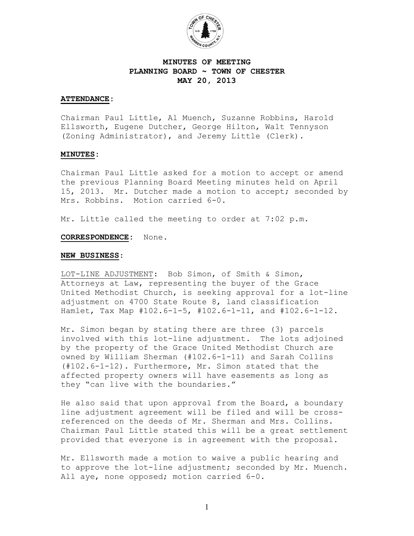

# **MINUTES OF MEETING PLANNING BOARD ~ TOWN OF CHESTER MAY 20, 2013**

### **ATTENDANCE:**

Chairman Paul Little, Al Muench, Suzanne Robbins, Harold Ellsworth, Eugene Dutcher, George Hilton, Walt Tennyson (Zoning Administrator), and Jeremy Little (Clerk).

#### **MINUTES:**

Chairman Paul Little asked for a motion to accept or amend the previous Planning Board Meeting minutes held on April 15, 2013. Mr. Dutcher made a motion to accept; seconded by Mrs. Robbins. Motion carried 6-0.

Mr. Little called the meeting to order at 7:02 p.m.

#### **CORRESPONDENCE:** None.

#### **NEW BUSINESS**:

LOT-LINE ADJUSTMENT: Bob Simon, of Smith & Simon, Attorneys at Law, representing the buyer of the Grace United Methodist Church, is seeking approval for a lot-line adjustment on 4700 State Route 8, land classification Hamlet, Tax Map #102.6-1-5, #102.6-1-11, and #102.6-1-12.

Mr. Simon began by stating there are three (3) parcels involved with this lot-line adjustment. The lots adjoined by the property of the Grace United Methodist Church are owned by William Sherman (#102.6-1-11) and Sarah Collins (#102.6-1-12). Furthermore, Mr. Simon stated that the affected property owners will have easements as long as they "can live with the boundaries."

He also said that upon approval from the Board, a boundary line adjustment agreement will be filed and will be crossreferenced on the deeds of Mr. Sherman and Mrs. Collins. Chairman Paul Little stated this will be a great settlement provided that everyone is in agreement with the proposal.

Mr. Ellsworth made a motion to waive a public hearing and to approve the lot-line adjustment; seconded by Mr. Muench. All aye, none opposed; motion carried 6-0.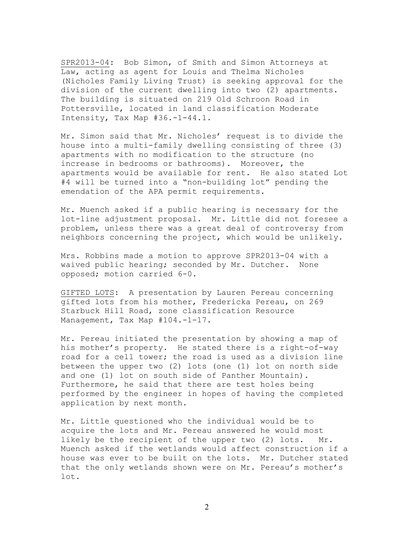SPR2013-04: Bob Simon, of Smith and Simon Attorneys at Law, acting as agent for Louis and Thelma Nicholes (Nicholes Family Living Trust) is seeking approval for the division of the current dwelling into two (2) apartments. The building is situated on 219 Old Schroon Road in Pottersville, located in land classification Moderate Intensity, Tax Map #36.-1-44.1.

Mr. Simon said that Mr. Nicholes' request is to divide the house into a multi-family dwelling consisting of three (3) apartments with no modification to the structure (no increase in bedrooms or bathrooms). Moreover, the apartments would be available for rent. He also stated Lot #4 will be turned into a "non-building lot" pending the emendation of the APA permit requirements.

Mr. Muench asked if a public hearing is necessary for the lot-line adjustment proposal. Mr. Little did not foresee a problem, unless there was a great deal of controversy from neighbors concerning the project, which would be unlikely.

Mrs. Robbins made a motion to approve SPR2013-04 with a waived public hearing; seconded by Mr. Dutcher. None opposed; motion carried 6-0.

GIFTED LOTS: A presentation by Lauren Pereau concerning gifted lots from his mother, Fredericka Pereau, on 269 Starbuck Hill Road, zone classification Resource Management, Tax Map #104.-1-17.

Mr. Pereau initiated the presentation by showing a map of his mother's property. He stated there is a right-of-way road for a cell tower; the road is used as a division line between the upper two (2) lots (one (1) lot on north side and one (1) lot on south side of Panther Mountain). Furthermore, he said that there are test holes being performed by the engineer in hopes of having the completed application by next month.

Mr. Little questioned who the individual would be to acquire the lots and Mr. Pereau answered he would most likely be the recipient of the upper two (2) lots. Mr. Muench asked if the wetlands would affect construction if a house was ever to be built on the lots. Mr. Dutcher stated that the only wetlands shown were on Mr. Pereau's mother's lot.

2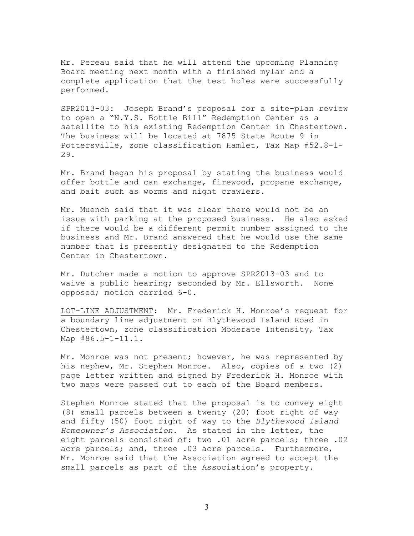Mr. Pereau said that he will attend the upcoming Planning Board meeting next month with a finished mylar and a complete application that the test holes were successfully performed.

SPR2013-03: Joseph Brand's proposal for a site-plan review to open a "N.Y.S. Bottle Bill" Redemption Center as a satellite to his existing Redemption Center in Chestertown. The business will be located at 7875 State Route 9 in Pottersville, zone classification Hamlet, Tax Map #52.8-1- 29.

Mr. Brand began his proposal by stating the business would offer bottle and can exchange, firewood, propane exchange, and bait such as worms and night crawlers.

Mr. Muench said that it was clear there would not be an issue with parking at the proposed business. He also asked if there would be a different permit number assigned to the business and Mr. Brand answered that he would use the same number that is presently designated to the Redemption Center in Chestertown.

Mr. Dutcher made a motion to approve SPR2013-03 and to waive a public hearing; seconded by Mr. Ellsworth. None opposed; motion carried 6-0.

LOT-LINE ADJUSTMENT: Mr. Frederick H. Monroe's request for a boundary line adjustment on Blythewood Island Road in Chestertown, zone classification Moderate Intensity, Tax Map #86.5-1-11.1.

Mr. Monroe was not present; however, he was represented by his nephew, Mr. Stephen Monroe. Also, copies of a two (2) page letter written and signed by Frederick H. Monroe with two maps were passed out to each of the Board members.

Stephen Monroe stated that the proposal is to convey eight (8) small parcels between a twenty (20) foot right of way and fifty (50) foot right of way to the *Blythewood Island Homeowner's Association*. As stated in the letter, the eight parcels consisted of: two .01 acre parcels; three .02 acre parcels; and, three .03 acre parcels. Furthermore, Mr. Monroe said that the Association agreed to accept the small parcels as part of the Association's property.